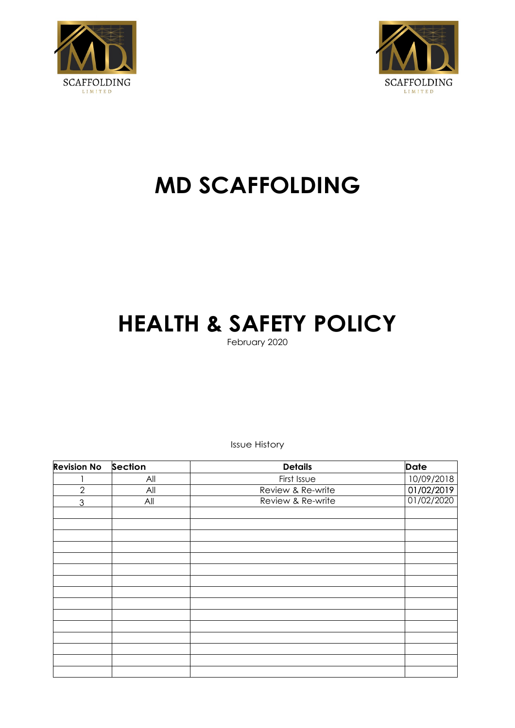



# **MD SCAFFOLDING**

# **HEALTH & SAFETY POLICY**

February 2020

Issue History

| <b>Revision No</b> | Section | <b>Details</b>    | <b>Date</b> |
|--------------------|---------|-------------------|-------------|
|                    | All     | First Issue       | 10/09/2018  |
| $\overline{2}$     | All     | Review & Re-write | 01/02/2019  |
| 3                  | All     | Review & Re-write | 01/02/2020  |
|                    |         |                   |             |
|                    |         |                   |             |
|                    |         |                   |             |
|                    |         |                   |             |
|                    |         |                   |             |
|                    |         |                   |             |
|                    |         |                   |             |
|                    |         |                   |             |
|                    |         |                   |             |
|                    |         |                   |             |
|                    |         |                   |             |
|                    |         |                   |             |
|                    |         |                   |             |
|                    |         |                   |             |
|                    |         |                   |             |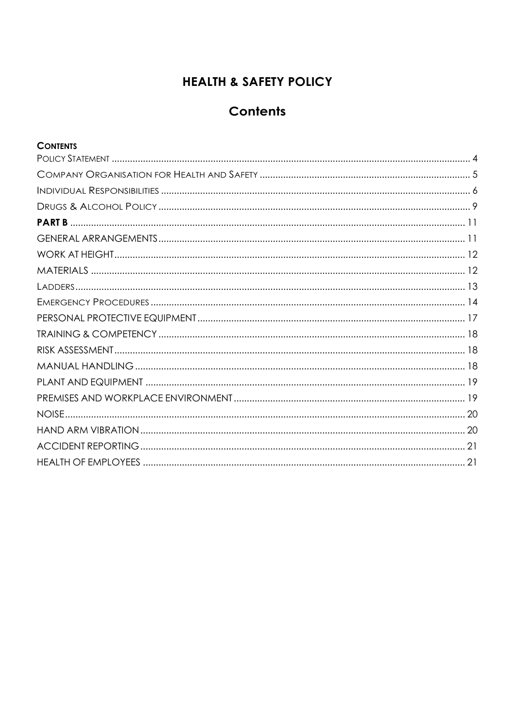### **HEALTH & SAFETY POLICY**

### **Contents**

### **CONTENTS**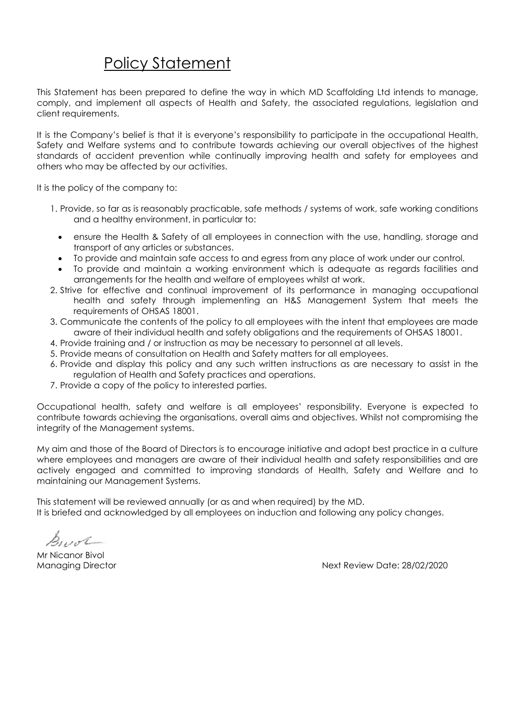# Policy Statement

<span id="page-2-0"></span>This Statement has been prepared to define the way in which MD Scaffolding Ltd intends to manage, comply, and implement all aspects of Health and Safety, the associated regulations, legislation and client requirements.

It is the Company's belief is that it is everyone's responsibility to participate in the occupational Health, Safety and Welfare systems and to contribute towards achieving our overall objectives of the highest standards of accident prevention while continually improving health and safety for employees and others who may be affected by our activities.

It is the policy of the company to:

- 1. Provide, so far as is reasonably practicable, safe methods / systems of work, safe working conditions and a healthy environment, in particular to:
	- ensure the Health & Safety of all employees in connection with the use, handling, storage and transport of any articles or substances.
	- To provide and maintain safe access to and egress from any place of work under our control.
	- To provide and maintain a working environment which is adequate as regards facilities and arrangements for the health and welfare of employees whilst at work.
- 2. Strive for effective and continual improvement of its performance in managing occupational health and safety through implementing an H&S Management System that meets the requirements of OHSAS 18001.
- 3. Communicate the contents of the policy to all employees with the intent that employees are made aware of their individual health and safety obligations and the requirements of OHSAS 18001.
- 4. Provide training and / or instruction as may be necessary to personnel at all levels.
- 5. Provide means of consultation on Health and Safety matters for all employees.
- 6. Provide and display this policy and any such written instructions as are necessary to assist in the regulation of Health and Safety practices and operations.
- 7. Provide a copy of the policy to interested parties.

Occupational health, safety and welfare is all employees' responsibility. Everyone is expected to contribute towards achieving the organisations, overall aims and objectives. Whilst not compromising the integrity of the Management systems.

My aim and those of the Board of Directors is to encourage initiative and adopt best practice in a culture where employees and managers are aware of their individual health and safety responsibilities and are actively engaged and committed to improving standards of Health, Safety and Welfare and to maintaining our Management Systems.

This statement will be reviewed annually (or as and when required) by the MD. It is briefed and acknowledged by all employees on induction and following any policy changes.

Build

Mr Nicanor Bivol

Managing Director Next Review Date: 28/02/2020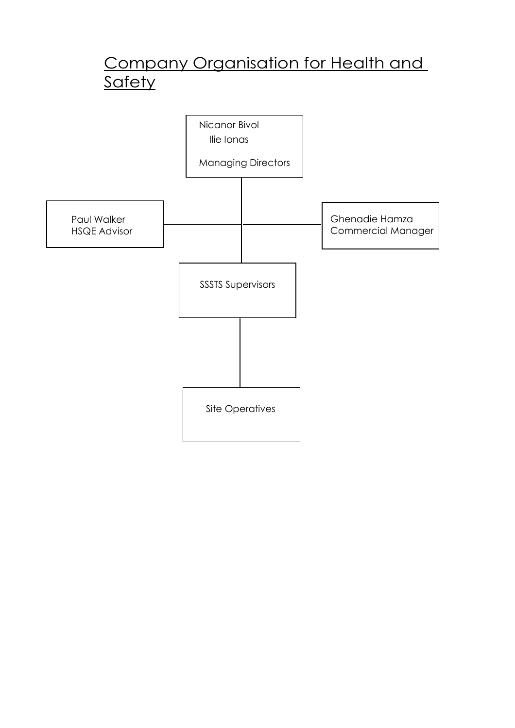# Company Organisation for Health and <u>Safety</u>

<span id="page-3-0"></span>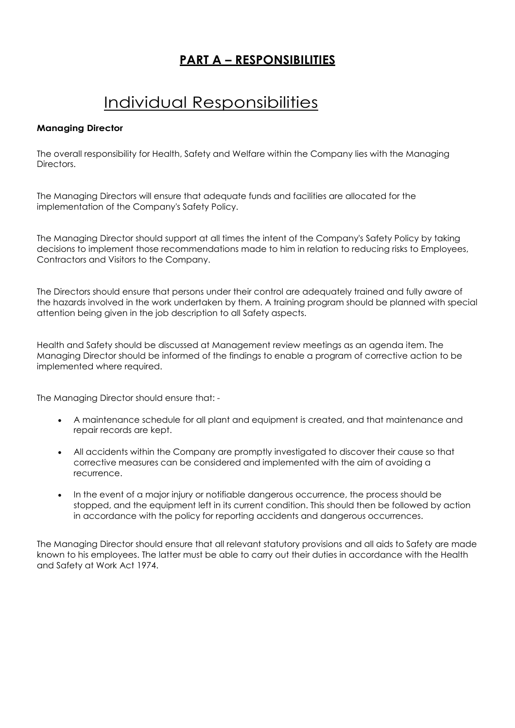### **PART A – RESPONSIBILITIES**

# Individual Responsibilities

### <span id="page-4-0"></span>**Managing Director**

The overall responsibility for Health, Safety and Welfare within the Company lies with the Managing Directors.

The Managing Directors will ensure that adequate funds and facilities are allocated for the implementation of the Company's Safety Policy.

The Managing Director should support at all times the intent of the Company's Safety Policy by taking decisions to implement those recommendations made to him in relation to reducing risks to Employees, Contractors and Visitors to the Company.

The Directors should ensure that persons under their control are adequately trained and fully aware of the hazards involved in the work undertaken by them. A training program should be planned with special attention being given in the job description to all Safety aspects.

Health and Safety should be discussed at Management review meetings as an agenda item. The Managing Director should be informed of the findings to enable a program of corrective action to be implemented where required.

The Managing Director should ensure that: -

- A maintenance schedule for all plant and equipment is created, and that maintenance and repair records are kept.
- All accidents within the Company are promptly investigated to discover their cause so that corrective measures can be considered and implemented with the aim of avoiding a recurrence.
- In the event of a major injury or notifiable dangerous occurrence, the process should be stopped, and the equipment left in its current condition. This should then be followed by action in accordance with the policy for reporting accidents and dangerous occurrences.

The Managing Director should ensure that all relevant statutory provisions and all aids to Safety are made known to his employees. The latter must be able to carry out their duties in accordance with the Health and Safety at Work Act 1974.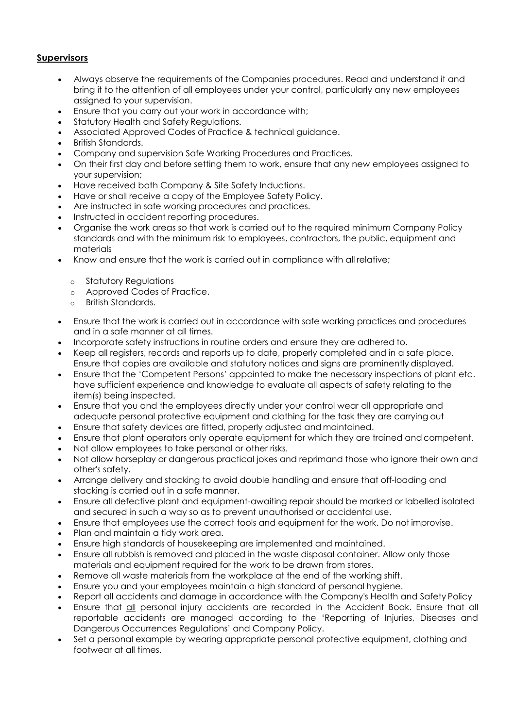### **Supervisors**

- Always observe the requirements of the Companies procedures. Read and understand it and bring it to the attention of all employees under your control, particularly any new employees assigned to your supervision.
- Ensure that you carry out your work in accordance with;
- Statutory Health and Safety Regulations.
- Associated Approved Codes of Practice & technical guidance.
- British Standards.
- Company and supervision Safe Working Procedures and Practices.
- On their first day and before setting them to work, ensure that any new employees assigned to your supervision;
- Have received both Company & Site Safety Inductions.
- Have or shall receive a copy of the Employee Safety Policy.
- Are instructed in safe working procedures and practices.
- Instructed in accident reporting procedures.
- Organise the work areas so that work is carried out to the required minimum Company Policy standards and with the minimum risk to employees, contractors, the public, equipment and materials
- Know and ensure that the work is carried out in compliance with all relative;
	- o Statutory Regulations
	- o Approved Codes of Practice.
	- o British Standards.
- Ensure that the work is carried out in accordance with safe working practices and procedures and in a safe manner at all times.
- Incorporate safety instructions in routine orders and ensure they are adhered to.
- Keep all registers, records and reports up to date, properly completed and in a safe place. Ensure that copies are available and statutory notices and signs are prominently displayed.
- Ensure that the 'Competent Persons' appointed to make the necessary inspections of plant etc. have sufficient experience and knowledge to evaluate all aspects of safety relating to the item(s) being inspected.
- Ensure that you and the employees directly under your control wear all appropriate and adequate personal protective equipment and clothing for the task they are carrying out
- Ensure that safety devices are fitted, properly adjusted and maintained.
- Ensure that plant operators only operate equipment for which they are trained andcompetent.
- Not allow employees to take personal or other risks.
- Not allow horseplay or dangerous practical jokes and reprimand those who ignore their own and other's safety.
- Arrange delivery and stacking to avoid double handling and ensure that off-loading and stacking is carried out in a safe manner.
- Ensure all defective plant and equipment-awaiting repair should be marked or labelled isolated and secured in such a way so as to prevent unauthorised or accidental use.
- Ensure that employees use the correct tools and equipment for the work. Do not improvise.
- Plan and maintain a tidy work area.
- Ensure high standards of housekeeping are implemented and maintained.
- Ensure all rubbish is removed and placed in the waste disposal container. Allow only those materials and equipment required for the work to be drawn from stores.
- Remove all waste materials from the workplace at the end of the working shift.
- Ensure you and your employees maintain a high standard of personal hygiene.
- Report all accidents and damage in accordance with the Company's Health and Safety Policy
- Ensure that all personal injury accidents are recorded in the Accident Book. Ensure that all reportable accidents are managed according to the 'Reporting of Injuries, Diseases and Dangerous Occurrences Regulations' and Company Policy.
- Set a personal example by wearing appropriate personal protective equipment, clothing and footwear at all times.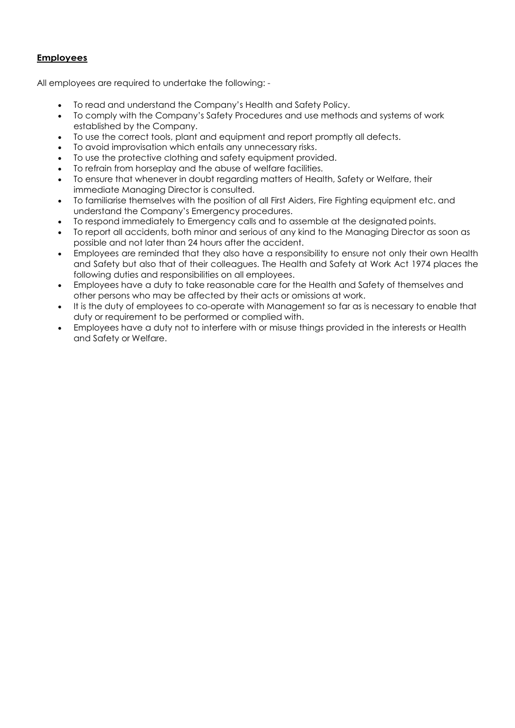### **Employees**

All employees are required to undertake the following: -

- To read and understand the Company's Health and Safety Policy.
- To comply with the Company's Safety Procedures and use methods and systems of work established by the Company.
- To use the correct tools, plant and equipment and report promptly all defects.
- To avoid improvisation which entails any unnecessary risks.
- To use the protective clothing and safety equipment provided.
- To refrain from horseplay and the abuse of welfare facilities.
- To ensure that whenever in doubt regarding matters of Health, Safety or Welfare, their immediate Managing Director is consulted.
- To familiarise themselves with the position of all First Aiders, Fire Fighting equipment etc. and understand the Company's Emergency procedures.
- To respond immediately to Emergency calls and to assemble at the designated points.
- To report all accidents, both minor and serious of any kind to the Managing Director as soon as possible and not later than 24 hours after the accident.
- Employees are reminded that they also have a responsibility to ensure not only their own Health and Safety but also that of their colleagues. The Health and Safety at Work Act 1974 places the following duties and responsibilities on all employees.
- Employees have a duty to take reasonable care for the Health and Safety of themselves and other persons who may be affected by their acts or omissions at work.
- It is the duty of employees to co-operate with Management so far as is necessary to enable that duty or requirement to be performed or complied with.
- Employees have a duty not to interfere with or misuse things provided in the interests or Health and Safety or Welfare.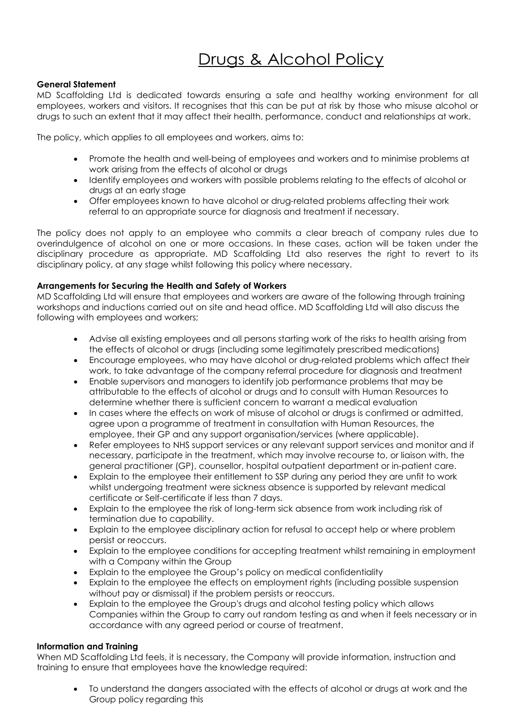# Drugs & Alcohol Policy

### <span id="page-7-0"></span>**General Statement**

MD Scaffolding Ltd is dedicated towards ensuring a safe and healthy working environment for all employees, workers and visitors. It recognises that this can be put at risk by those who misuse alcohol or drugs to such an extent that it may affect their health, performance, conduct and relationships at work.

The policy, which applies to all employees and workers, aims to:

- Promote the health and well-being of employees and workers and to minimise problems at work arising from the effects of alcohol or drugs
- Identify employees and workers with possible problems relating to the effects of alcohol or drugs at an early stage
- Offer employees known to have alcohol or drug-related problems affecting their work referral to an appropriate source for diagnosis and treatment if necessary.

The policy does not apply to an employee who commits a clear breach of company rules due to overindulgence of alcohol on one or more occasions. In these cases, action will be taken under the disciplinary procedure as appropriate. MD Scaffolding Ltd also reserves the right to revert to its disciplinary policy, at any stage whilst following this policy where necessary.

### **Arrangements for Securing the Health and Safety of Workers**

MD Scaffolding Ltd will ensure that employees and workers are aware of the following through training workshops and inductions carried out on site and head office. MD Scaffolding Ltd will also discuss the following with employees and workers;

- Advise all existing employees and all persons starting work of the risks to health arising from the effects of alcohol or drugs (including some legitimately prescribed medications)
- Encourage employees, who may have alcohol or drug-related problems which affect their work, to take advantage of the company referral procedure for diagnosis and treatment
- Enable supervisors and managers to identify job performance problems that may be attributable to the effects of alcohol or drugs and to consult with Human Resources to determine whether there is sufficient concern to warrant a medical evaluation
- In cases where the effects on work of misuse of alcohol or drugs is confirmed or admitted, agree upon a programme of treatment in consultation with Human Resources, the employee, their GP and any support organisation/services (where applicable).
- Refer employees to NHS support services or any relevant support services and monitor and if necessary, participate in the treatment, which may involve recourse to, or liaison with, the general practitioner (GP), counsellor, hospital outpatient department or in-patient care.
- Explain to the employee their entitlement to SSP during any period they are unfit to work whilst undergoing treatment were sickness absence is supported by relevant medical certificate or Self-certificate if less than 7 days.
- Explain to the employee the risk of long-term sick absence from work including risk of termination due to capability.
- Explain to the employee disciplinary action for refusal to accept help or where problem persist or reoccurs.
- Explain to the employee conditions for accepting treatment whilst remaining in employment with a Company within the Group
- Explain to the employee the Group's policy on medical confidentiality
- Explain to the employee the effects on employment rights (including possible suspension without pay or dismissal) if the problem persists or reoccurs.
- Explain to the employee the Group's drugs and alcohol testing policy which allows Companies within the Group to carry out random testing as and when it feels necessary or in accordance with any agreed period or course of treatment.

### **Information and Training**

When MD Scaffolding Ltd feels, it is necessary, the Company will provide information, instruction and training to ensure that employees have the knowledge required:

• To understand the dangers associated with the effects of alcohol or drugs at work and the Group policy regarding this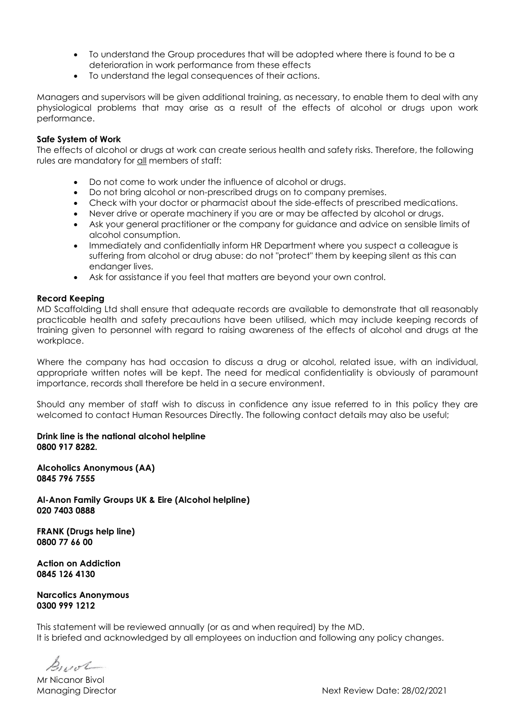- To understand the Group procedures that will be adopted where there is found to be a deterioration in work performance from these effects
- To understand the legal consequences of their actions.

Managers and supervisors will be given additional training, as necessary, to enable them to deal with any physiological problems that may arise as a result of the effects of alcohol or drugs upon work performance.

### **Safe System of Work**

The effects of alcohol or drugs at work can create serious health and safety risks. Therefore, the following rules are mandatory for all members of staff:

- Do not come to work under the influence of alcohol or drugs.
- Do not bring alcohol or non-prescribed drugs on to company premises.
- Check with your doctor or pharmacist about the side-effects of prescribed medications.
- Never drive or operate machinery if you are or may be affected by alcohol or drugs.
- Ask your general practitioner or the company for guidance and advice on sensible limits of alcohol consumption.
- Immediately and confidentially inform HR Department where you suspect a colleague is suffering from alcohol or drug abuse: do not "protect" them by keeping silent as this can endanger lives.
- Ask for assistance if you feel that matters are beyond your own control.

#### **Record Keeping**

MD Scaffolding Ltd shall ensure that adequate records are available to demonstrate that all reasonably practicable health and safety precautions have been utilised, which may include keeping records of training given to personnel with regard to raising awareness of the effects of alcohol and drugs at the workplace.

Where the company has had occasion to discuss a drug or alcohol, related issue, with an individual, appropriate written notes will be kept. The need for medical confidentiality is obviously of paramount importance, records shall therefore be held in a secure environment.

Should any member of staff wish to discuss in confidence any issue referred to in this policy they are welcomed to contact Human Resources Directly. The following contact details may also be useful;

**Drink line is the national alcohol helpline 0800 917 8282.**

**[Alcoholics Anonymous \(AA\)](http://www.alcoholics-anonymous.org.uk/) 0845 796 7555**

**Al-Anon Family Groups UK & Eire (Alcohol helpline) 020 7403 0888**

**FRANK (Drugs help line) 0800 77 66 00**

**Action on Addiction 0845 126 4130**

**Narcotics Anonymous 0300 999 1212**

This statement will be reviewed annually (or as and when required) by the MD. It is briefed and acknowledged by all employees on induction and following any policy changes.

 $B_{\mu\nu}$ ol

Mr Nicanor Bivol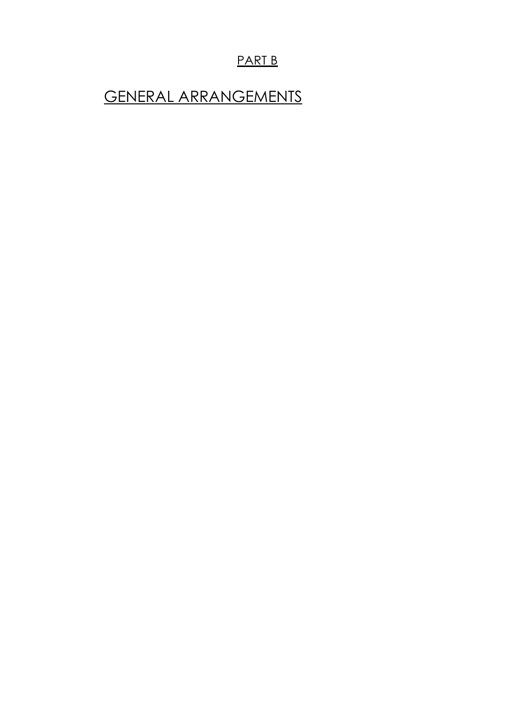### PART B

# <span id="page-9-1"></span><span id="page-9-0"></span>GENERAL ARRANGEMENTS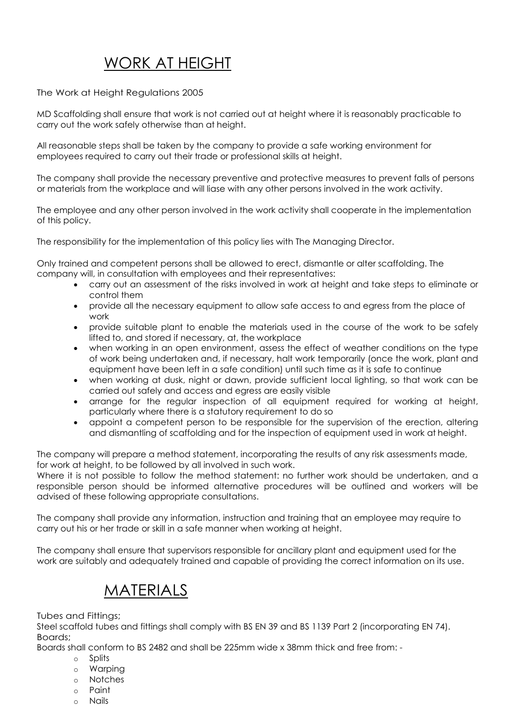# WORK AT HEIGHT

<span id="page-10-0"></span>The Work at Height Regulations 2005

MD Scaffolding shall ensure that work is not carried out at height where it is reasonably practicable to carry out the work safely otherwise than at height.

All reasonable steps shall be taken by the company to provide a safe working environment for employees required to carry out their trade or professional skills at height.

The company shall provide the necessary preventive and protective measures to prevent falls of persons or materials from the workplace and will liase with any other persons involved in the work activity.

The employee and any other person involved in the work activity shall cooperate in the implementation of this policy.

The responsibility for the implementation of this policy lies with The Managing Director.

Only trained and competent persons shall be allowed to erect, dismantle or alter scaffolding. The company will, in consultation with employees and their representatives:

- carry out an assessment of the risks involved in work at height and take steps to eliminate or control them
- provide all the necessary equipment to allow safe access to and egress from the place of work
- provide suitable plant to enable the materials used in the course of the work to be safely lifted to, and stored if necessary, at, the workplace
- when working in an open environment, assess the effect of weather conditions on the type of work being undertaken and, if necessary, halt work temporarily (once the work, plant and equipment have been left in a safe condition) until such time as it is safe to continue
- when working at dusk, night or dawn, provide sufficient local lighting, so that work can be carried out safely and access and egress are easily visible
- arrange for the regular inspection of all equipment required for working at height, particularly where there is a statutory requirement to do so
- appoint a competent person to be responsible for the supervision of the erection, altering and dismantling of scaffolding and for the inspection of equipment used in work at height.

The company will prepare a method statement, incorporating the results of any risk assessments made, for work at height, to be followed by all involved in such work.

Where it is not possible to follow the method statement: no further work should be undertaken, and a responsible person should be informed alternative procedures will be outlined and workers will be advised of these following appropriate consultations.

The company shall provide any information, instruction and training that an employee may require to carry out his or her trade or skill in a safe manner when working at height.

<span id="page-10-1"></span>The company shall ensure that supervisors responsible for ancillary plant and equipment used for the work are suitably and adequately trained and capable of providing the correct information on its use.

# **MATERIALS**

Tubes and Fittings;

Steel scaffold tubes and fittings shall comply with BS EN 39 and BS 1139 Part 2 (incorporating EN 74). Boards;

Boards shall conform to BS 2482 and shall be 225mm wide x 38mm thick and free from: -

- o Splits
- o Warping
- o Notches
- o Paint
- o Nails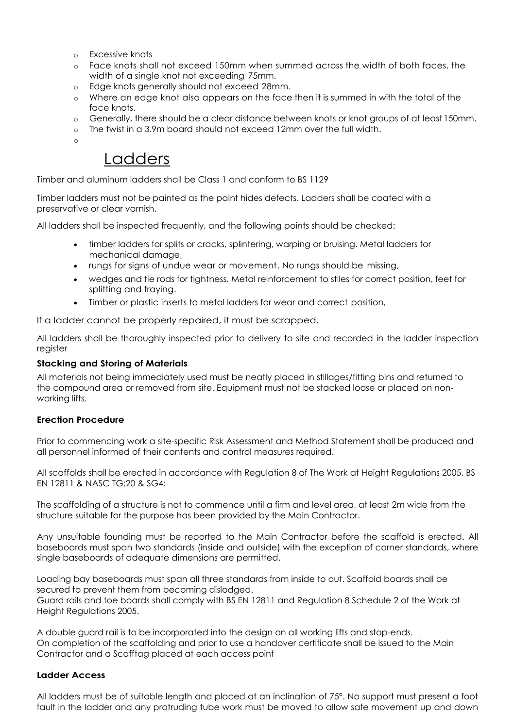- o Excessive knots
- o Face knots shall not exceed 150mm when summed across the width of both faces, the width of a single knot not exceeding 75mm.
- o Edge knots generally should not exceed 28mm.
- o Where an edge knot also appears on the face then it is summed in with the total of the face knots.
- o Generally, there should be a clear distance between knots or knot groups of at least 150mm.
- o The twist in a 3.9m board should not exceed 12mm over the full width.

o

### Ladders

<span id="page-11-0"></span>Timber and aluminum ladders shall be Class 1 and conform to BS 1129

Timber ladders must not be painted as the paint hides defects. Ladders shall be coated with a preservative or clear varnish.

All ladders shall be inspected frequently, and the following points should be checked:

- timber ladders for splits or cracks, splintering, warping or bruising. Metal ladders for mechanical damage,
- rungs for signs of undue wear or movement. No rungs should be missing,
- wedges and tie rods for tightness. Metal reinforcement to stiles for correct position, feet for splitting and fraying.
- Timber or plastic inserts to metal ladders for wear and correct position,

If a ladder cannot be properly repaired, it must be scrapped.

All ladders shall be thoroughly inspected prior to delivery to site and recorded in the ladder inspection register

### **Stacking and Storing of Materials**

All materials not being immediately used must be neatly placed in stillages/fitting bins and returned to the compound area or removed from site. Equipment must not be stacked loose or placed on nonworking lifts.

### **Erection Procedure**

Prior to commencing work a site-specific Risk Assessment and Method Statement shall be produced and all personnel informed of their contents and control measures required.

All scaffolds shall be erected in accordance with Regulation 8 of The Work at Height Regulations 2005, BS EN 12811 & NASC TG:20 & SG4:

The scaffolding of a structure is not to commence until a firm and level area, at least 2m wide from the structure suitable for the purpose has been provided by the Main Contractor.

Any unsuitable founding must be reported to the Main Contractor before the scaffold is erected. All baseboards must span two standards (inside and outside) with the exception of corner standards, where single baseboards of adequate dimensions are permitted.

Loading bay baseboards must span all three standards from inside to out. Scaffold boards shall be secured to prevent them from becoming dislodged.

Guard rails and toe boards shall comply with BS EN 12811 and Regulation 8 Schedule 2 of the Work at Height Regulations 2005.

A double guard rail is to be incorporated into the design on all working lifts and stop-ends. On completion of the scaffolding and prior to use a handover certificate shall be issued to the Main Contractor and a Scafftag placed at each access point

### **Ladder Access**

All ladders must be of suitable length and placed at an inclination of 75°. No support must present a foot fault in the ladder and any protruding tube work must be moved to allow safe movement up and down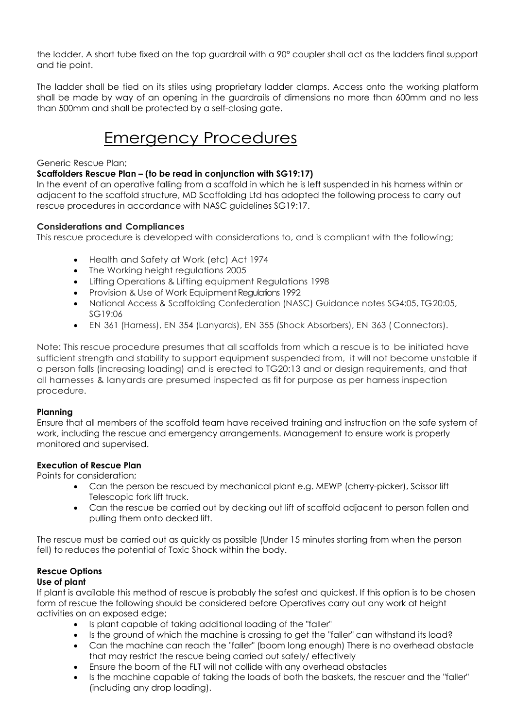the ladder. A short tube fixed on the top guardrail with a 90° coupler shall act as the ladders final support and tie point.

The ladder shall be tied on its stiles using proprietary ladder clamps. Access onto the working platform shall be made by way of an opening in the guardrails of dimensions no more than 600mm and no less than 500mm and shall be protected by a self-closing gate.

## Emergency Procedures

### <span id="page-12-0"></span>Generic Rescue Plan;

### **Scaffolders Rescue Plan – (to be read in conjunction with SG19:17)**

In the event of an operative falling from a scaffold in which he is left suspended in his harness within or adjacent to the scaffold structure, MD Scaffolding Ltd has adopted the following process to carry out rescue procedures in accordance with NASC guidelines SG19:17.

### **Considerations and Compliances**

This rescue procedure is developed with considerations to, and is compliant with the following;

- Health and Safety at Work (etc) Act 1974
- The Working height regulations 2005
- Lifting Operations & Lifting equipment Regulations 1998
- Provision & Use of Work Equipment Requlations 1992
- National Access & Scaffolding Confederation (NASC) Guidance notes SG4:05, TG20:05, SG19:06
- EN 361 (Harness), EN 354 (Lanyards), EN 355 (Shock Absorbers), EN 363 ( Connectors).

Note: This rescue procedure presumes that all scaffolds from which a rescue is to be initiated have sufficient strength and stability to support equipment suspended from, it will not become unstable if a person falls (increasing loading) and is erected to TG20:13 and or design requirements, and that all harnesses & lanyards are presumed inspected as fit for purpose as per harness inspection procedure.

### **Planning**

Ensure that all members of the scaffold team have received training and instruction on the safe system of work, including the rescue and emergency arrangements. Management to ensure work is properly monitored and supervised.

### **Execution of Rescue Plan**

Points for consideration;

- Can the person be rescued by mechanical plant e.g. MEWP (cherry-picker), Scissor lift Telescopic fork lift truck.
- Can the rescue be carried out by decking out lift of scaffold adjacent to person fallen and pulling them onto decked lift.

The rescue must be carried out as quickly as possible (Under 15 minutes starting from when the person fell) to reduces the potential of Toxic Shock within the body.

### **Rescue Options**

### **Use of plant**

If plant is available this method of rescue is probably the safest and quickest. If this option is to be chosen form of rescue the following should be considered before Operatives carry out any work at height activities on an exposed edge;

- Is plant capable of taking additional loading of the "faller"
- Is the ground of which the machine is crossing to get the "faller" can withstand its load?
- Can the machine can reach the "faller" (boom long enough) There is no overhead obstacle that may restrict the rescue being carried out safely/ effectively
- Ensure the boom of the FLT will not collide with any overhead obstacles
- Is the machine capable of taking the loads of both the baskets, the rescuer and the "faller" (including any drop loading).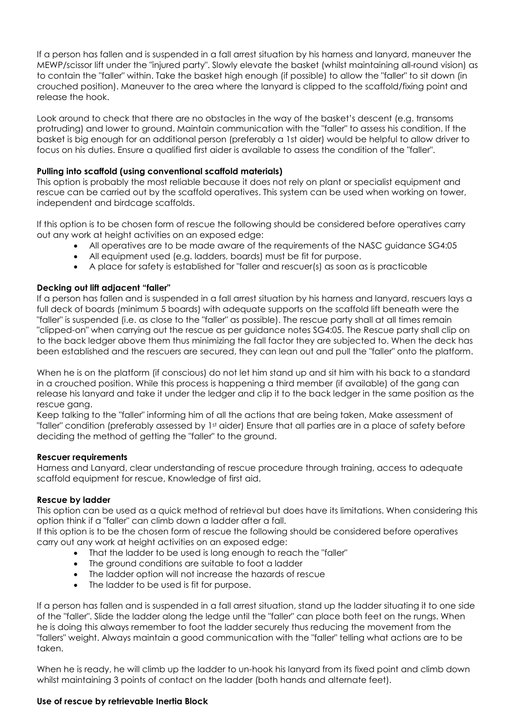If a person has fallen and is suspended in a fall arrest situation by his harness and lanyard, maneuver the MEWP/scissor lift under the "injured party". Slowly elevate the basket (whilst maintaining all-round vision) as to contain the "faller" within. Take the basket high enough (if possible) to allow the "faller" to sit down (in crouched position). Maneuver to the area where the lanyard is clipped to the scaffold/fixing point and release the hook.

Look around to check that there are no obstacles in the way of the basket's descent (e.g. transoms protruding) and lower to ground. Maintain communication with the "faller" to assess his condition. If the basket is big enough for an additional person (preferably a 1st aider) would be helpful to allow driver to focus on his duties. Ensure a qualified first aider is available to assess the condition of the "faller".

### **Pulling into scaffold (using conventional scaffold materials)**

This option is probably the most reliable because it does not rely on plant or specialist equipment and rescue can be carried out by the scaffold operatives. This system can be used when working on tower, independent and birdcage scaffolds.

If this option is to be chosen form of rescue the following should be considered before operatives carry out any work at height activities on an exposed edge:

- All operatives are to be made aware of the requirements of the NASC guidance SG4:05
- All equipment used (e.g. ladders, boards) must be fit for purpose.
- A place for safety is established for "faller and rescuer(s) as soon as is practicable

### **Decking out lift adjacent "faller"**

If a person has fallen and is suspended in a fall arrest situation by his harness and lanyard, rescuers lays a full deck of boards (minimum 5 boards) with adequate supports on the scaffold lift beneath were the "faller" is suspended (i.e. as close to the "faller" as possible). The rescue party shall at all times remain "clipped-on" when carrying out the rescue as per guidance notes SG4:05. The Rescue party shall clip on to the back ledger above them thus minimizing the fall factor they are subjected to. When the deck has been established and the rescuers are secured, they can lean out and pull the "faller" onto the platform.

When he is on the platform (if conscious) do not let him stand up and sit him with his back to a standard in a crouched position. While this process is happening a third member (if available) of the gang can release his lanyard and take it under the ledger and clip it to the back ledger in the same position as the rescue gang.

Keep talking to the "faller" informing him of all the actions that are being taken, Make assessment of "faller" condition (preferably assessed by 1st aider) Ensure that all parties are in a place of safety before deciding the method of getting the "faller" to the ground.

### **Rescuer requirements**

Harness and Lanyard, clear understanding of rescue procedure through training, access to adequate scaffold equipment for rescue, Knowledge of first aid.

### **Rescue by ladder**

This option can be used as a quick method of retrieval but does have its limitations. When considering this option think if a "faller" can climb down a ladder after a fall.

If this option is to be the chosen form of rescue the following should be considered before operatives carry out any work at height activities on an exposed edge:

- That the ladder to be used is long enough to reach the "faller"
- The ground conditions are suitable to foot a ladder
- The ladder option will not increase the hazards of rescue
- The ladder to be used is fit for purpose.

If a person has fallen and is suspended in a fall arrest situation, stand up the ladder situating it to one side of the "faller". Slide the ladder along the ledge until the "faller" can place both feet on the rungs. When he is doing this always remember to foot the ladder securely thus reducing the movement from the "fallers" weight. Always maintain a good communication with the "faller" telling what actions are to be taken.

When he is ready, he will climb up the ladder to un-hook his lanyard from its fixed point and climb down whilst maintaining 3 points of contact on the ladder (both hands and alternate feet).

### **Use of rescue by retrievable Inertia Block**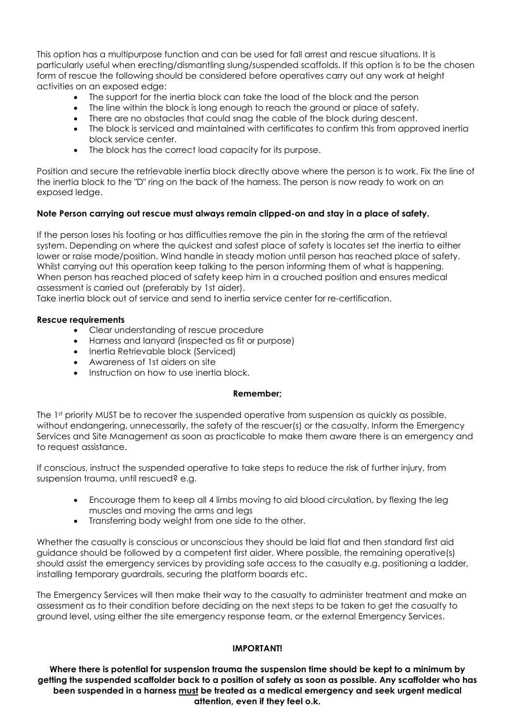This option has a multipurpose function and can be used for fall arrest and rescue situations. It is particularly useful when erecting/dismantling slung/suspended scaffolds. If this option is to be the chosen form of rescue the following should be considered before operatives carry out any work at height activities on an exposed edge:

- The support for the inertia block can take the load of the block and the person
- The line within the block is long enough to reach the ground or place of safety.
- There are no obstacles that could snag the cable of the block during descent.
- The block is serviced and maintained with certificates to confirm this from approved inertia block service center.
- The block has the correct load capacity for its purpose.

Position and secure the retrievable inertia block directly above where the person is to work. Fix the line of the inertia block to the "D" ring on the back of the harness. The person is now ready to work on an exposed ledge.

### **Note Person carrying out rescue must always remain clipped-on and stay in a place of safety.**

If the person loses his footing or has difficulties remove the pin in the storing the arm of the retrieval system. Depending on where the quickest and safest place of safety is locates set the inertia to either lower or raise mode/position. Wind handle in steady motion until person has reached place of safety. Whilst carrying out this operation keep talking to the person informing them of what is happening. When person has reached placed of safety keep him in a crouched position and ensures medical assessment is carried out (preferably by 1st aider).

Take inertia block out of service and send to inertia service center for re-certification.

### **Rescue requirements**

- Clear understanding of rescue procedure
- Harness and lanyard (inspected as fit or purpose)
- Inertia Retrievable block (Serviced)
- Awareness of 1st aiders on site
- Instruction on how to use inertia block.

### **Remember;**

The 1<sup>st</sup> priority MUST be to recover the suspended operative from suspension as quickly as possible, without endangering, unnecessarily, the safety of the rescuer(s) or the casualty. Inform the Emergency Services and Site Management as soon as practicable to make them aware there is an emergency and to request assistance.

If conscious, instruct the suspended operative to take steps to reduce the risk of further injury, from suspension trauma, until rescued? e.g.

- Encourage them to keep all 4 limbs moving to aid blood circulation, by flexing the leg muscles and moving the arms and legs
- Transferring body weight from one side to the other.

Whether the casualty is conscious or unconscious they should be laid flat and then standard first aid guidance should be followed by a competent first aider. Where possible, the remaining operative(s) should assist the emergency services by providing safe access to the casualty e.g. positioning a ladder, installing temporary guardrails, securing the platform boards etc.

The Emergency Services will then make their way to the casualty to administer treatment and make an assessment as to their condition before deciding on the next steps to be taken to get the casualty to ground level, using either the site emergency response team, or the external Emergency Services.

### **IMPORTANT!**

**Where there is potential for suspension trauma the suspension time should be kept to a minimum by getting the suspended scaffolder back to a position of safety as soon as possible. Any scaffolder who has been suspended in a harness must be treated as a medical emergency and seek urgent medical attention, even if they feel o.k.**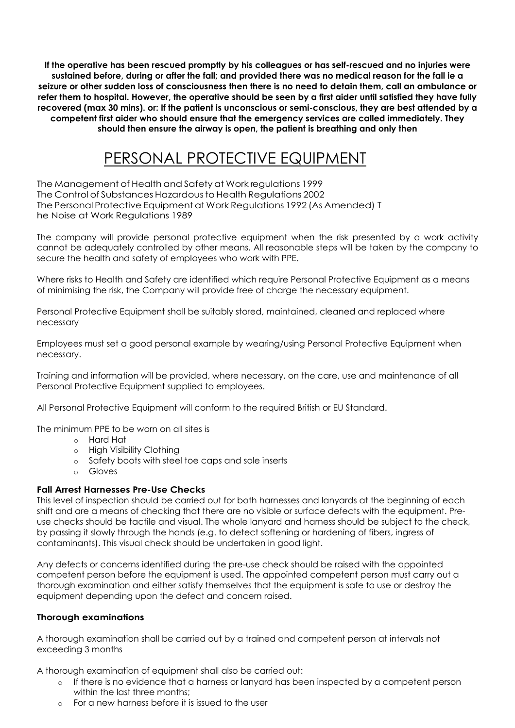**If the operative has been rescued promptly by his colleagues or has self-rescued and no injuries were sustained before, during or after the fall; and provided there was no medical reason for the fall ie a seizure or other sudden loss of consciousness then there is no need to detain them, call an ambulance or refer them to hospital. However, the operative should be seen by a first aider until satisfied they have fully recovered (max 30 mins). or: If the patient is unconscious or semi-conscious, they are best attended by a competent first aider who should ensure that the emergency services are called immediately. They should then ensure the airway is open, the patient is breathing and only then**

# PERSONAL PROTECTIVE EQUIPMENT

<span id="page-15-0"></span>The Management of Health and Safety at Work regulations 1999 The Control of Substances Hazardous to Health Regulations 2002 The Personal Protective Equipment at Work Regulations 1992 (As Amended) T he Noise at Work Regulations 1989

The company will provide personal protective equipment when the risk presented by a work activity cannot be adequately controlled by other means. All reasonable steps will be taken by the company to secure the health and safety of employees who work with PPE.

Where risks to Health and Safety are identified which require Personal Protective Equipment as a means of minimising the risk, the Company will provide free of charge the necessary equipment.

Personal Protective Equipment shall be suitably stored, maintained, cleaned and replaced where necessary

Employees must set a good personal example by wearing/using Personal Protective Equipment when necessary.

Training and information will be provided, where necessary, on the care, use and maintenance of all Personal Protective Equipment supplied to employees.

All Personal Protective Equipment will conform to the required British or EU Standard.

The minimum PPE to be worn on all sites is

- o Hard Hat
- o High Visibility Clothing
- o Safety boots with steel toe caps and sole inserts
- o Gloves

### **Fall Arrest Harnesses Pre-Use Checks**

This level of inspection should be carried out for both harnesses and lanyards at the beginning of each shift and are a means of checking that there are no visible or surface defects with the equipment. Preuse checks should be tactile and visual. The whole lanyard and harness should be subject to the check, by passing it slowly through the hands (e.g. to detect softening or hardening of fibers, ingress of contaminants). This visual check should be undertaken in good light.

Any defects or concerns identified during the pre-use check should be raised with the appointed competent person before the equipment is used. The appointed competent person must carry out a thorough examination and either satisfy themselves that the equipment is safe to use or destroy the equipment depending upon the defect and concern raised.

### **Thorough examinations**

A thorough examination shall be carried out by a trained and competent person at intervals not exceeding 3 months

A thorough examination of equipment shall also be carried out:

- o If there is no evidence that a harness or lanyard has been inspected by a competent person within the last three months:
- o For a new harness before it is issued to the user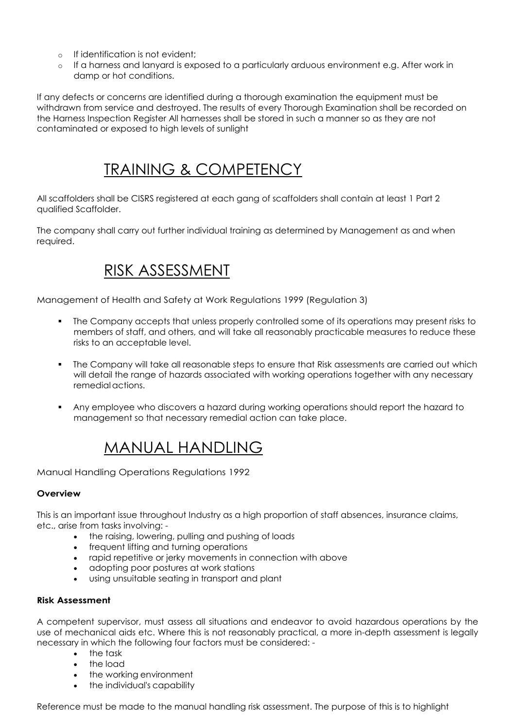- o If identification is not evident;
- o If a harness and lanyard is exposed to a particularly arduous environment e.g. After work in damp or hot conditions.

If any defects or concerns are identified during a thorough examination the equipment must be withdrawn from service and destroyed. The results of every Thorough Examination shall be recorded on the Harness Inspection Register All harnesses shall be stored in such a manner so as they are not contaminated or exposed to high levels of sunlight

# TRAINING & COMPETENCY

<span id="page-16-0"></span>All scaffolders shall be CISRS registered at each gang of scaffolders shall contain at least 1 Part 2 qualified Scaffolder.

<span id="page-16-1"></span>The company shall carry out further individual training as determined by Management as and when required.

# RISK ASSESSMENT

Management of Health and Safety at Work Regulations 1999 (Regulation 3)

- The Company accepts that unless properly controlled some of its operations may present risks to members of staff, and others, and will take all reasonably practicable measures to reduce these risks to an acceptable level.
- The Company will take all reasonable steps to ensure that Risk assessments are carried out which will detail the range of hazards associated with working operations together with any necessary remedialactions.
- Any employee who discovers a hazard during working operations should report the hazard to management so that necessary remedial action can take place.

# MANUAL HANDLING

<span id="page-16-2"></span>Manual Handling Operations Regulations 1992

### **Overview**

This is an important issue throughout Industry as a high proportion of staff absences, insurance claims, etc., arise from tasks involving: -

- the raising, lowering, pulling and pushing of loads
- frequent lifting and turning operations
- rapid repetitive or jerky movements in connection with above
- adopting poor postures at work stations
- using unsuitable seating in transport and plant

### **Risk Assessment**

A competent supervisor, must assess all situations and endeavor to avoid hazardous operations by the use of mechanical aids etc. Where this is not reasonably practical, a more in-depth assessment is legally necessary in which the following four factors must be considered: -

- the task
- the load
- the working environment
- the individual's capability

Reference must be made to the manual handling risk assessment. The purpose of this is to highlight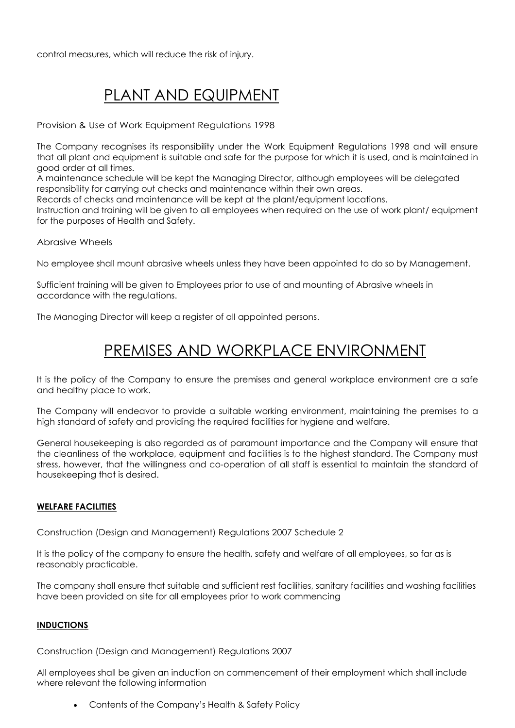<span id="page-17-0"></span>control measures, which will reduce the risk of injury.

# PLANT AND EQUIPMENT

Provision & Use of Work Equipment Regulations 1998

The Company recognises its responsibility under the Work Equipment Regulations 1998 and will ensure that all plant and equipment is suitable and safe for the purpose for which it is used, and is maintained in good order at all times.

A maintenance schedule will be kept the Managing Director, although employees will be delegated responsibility for carrying out checks and maintenance within their own areas.

Records of checks and maintenance will be kept at the plant/equipment locations.

Instruction and training will be given to all employees when required on the use of work plant/ equipment for the purposes of Health and Safety.

Abrasive Wheels

No employee shall mount abrasive wheels unless they have been appointed to do so by Management.

Sufficient training will be given to Employees prior to use of and mounting of Abrasive wheels in accordance with the regulations.

<span id="page-17-1"></span>The Managing Director will keep a register of all appointed persons.

# PREMISES AND WORKPLACE ENVIRONMENT

It is the policy of the Company to ensure the premises and general workplace environment are a safe and healthy place to work.

The Company will endeavor to provide a suitable working environment, maintaining the premises to a high standard of safety and providing the required facilities for hygiene and welfare.

General housekeeping is also regarded as of paramount importance and the Company will ensure that the cleanliness of the workplace, equipment and facilities is to the highest standard. The Company must stress, however, that the willingness and co-operation of all staff is essential to maintain the standard of housekeeping that is desired.

### **WELFARE FACILITIES**

Construction (Design and Management) Regulations 2007 Schedule 2

It is the policy of the company to ensure the health, safety and welfare of all employees, so far as is reasonably practicable.

The company shall ensure that suitable and sufficient rest facilities, sanitary facilities and washing facilities have been provided on site for all employees prior to work commencing

### **INDUCTIONS**

Construction (Design and Management) Regulations 2007

All employees shall be given an induction on commencement of their employment which shall include where relevant the following information

• Contents of the Company's Health & Safety Policy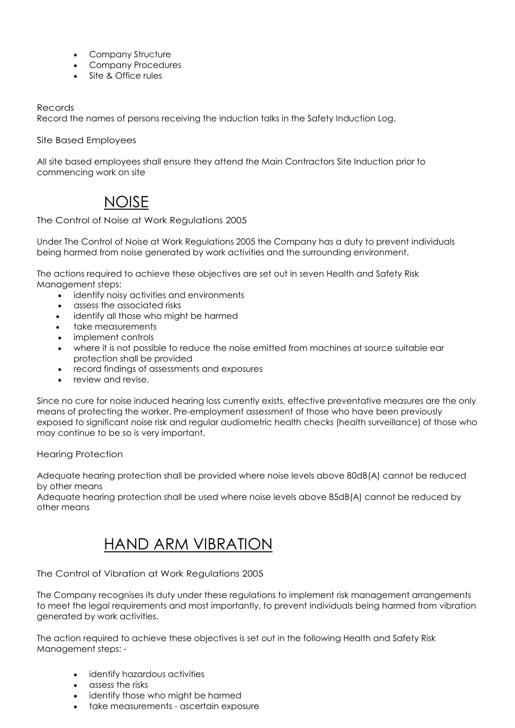- Company Structure
- Company Procedures
- Site & Office rules

### Records

Record the names of persons receiving the induction talks in the Safety Induction Log.

Site Based Employees

All site based employees shall ensure they attend the Main Contractors Site Induction prior to commencing work on site

# NOISE

<span id="page-18-0"></span>The Control of Noise at Work Regulations 2005

Under The Control of Noise at Work Regulations 2005 the Company has a duty to prevent individuals being harmed from noise generated by work activities and the surrounding environment.

The actions required to achieve these objectives are set out in seven Health and Safety Risk Management steps:

- identify noisy activities and environments
- assess the associated risks
- identify all those who might be harmed
- take measurements
- implement controls
- where it is not possible to reduce the noise emitted from machines at source suitable ear protection shall be provided
- record findings of assessments and exposures
- review and revise.

Since no cure for noise induced hearing loss currently exists, effective preventative measures are the only means of protecting the worker. Pre-employment assessment of those who have been previously exposed to significant noise risk and regular audiometric health checks (health surveillance) of those who may continue to be so is very important.

Hearing Protection

Adequate hearing protection shall be provided where noise levels above 80dB(A) cannot be reduced by other means

<span id="page-18-1"></span>Adequate hearing protection shall be used where noise levels above 85dB(A) cannot be reduced by other means

# HAND ARM VIBRATION

The Control of Vibration at Work Regulations 2005

The Company recognises its duty under these regulations to implement risk management arrangements to meet the legal requirements and most importantly, to prevent individuals being harmed from vibration generated by work activities.

The action required to achieve these objectives is set out in the following Health and Safety Risk Management steps: -

- identify hazardous activities
- assess the risks
- identify those who might be harmed
- take measurements ascertain exposure